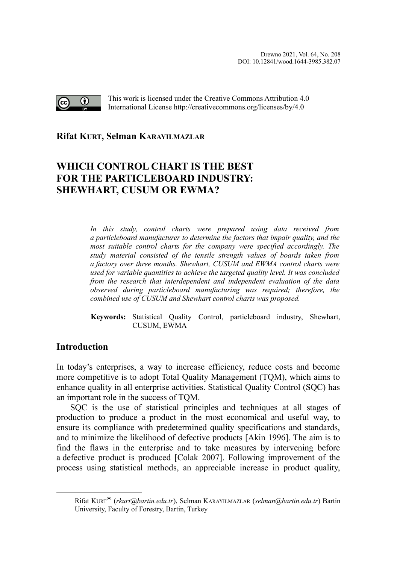

This work is licensed under the Creative Commons Attribution 4.0 International License http://creativecommons.org/licenses/by/4.0

# **Rifat KURT, Selman KARAYILMAZLA[R](#page-0-0)**

# **WHICH CONTROL CHART IS THE BEST FOR THE PARTICLEBOARD INDUSTRY: SHEWHART, CUSUM OR EWMA?**

*In this study, control charts were prepared using data received from a particleboard manufacturer to determine the factors that impair quality, and the most suitable control charts for the company were specified accordingly. The study material consisted of the tensile strength values of boards taken from a factory over three months. Shewhart, CUSUM and EWMA control charts were used for variable quantities to achieve the targeted quality level. It was concluded from the research that interdependent and independent evaluation of the data observed during particleboard manufacturing was required; therefore, the combined use of CUSUM and Shewhart control charts was proposed.*

**Keywords:** Statistical Quality Control, particleboard industry, Shewhart, CUSUM, EWMA

# **Introduction**

In today's enterprises, a way to increase efficiency, reduce costs and become more competitive is to adopt Total Quality Management (TQM), which aims to enhance quality in all enterprise activities. Statistical Quality Control (SQC) has an important role in the success of TQM.

SQC is the use of statistical principles and techniques at all stages of production to produce a product in the most economical and useful way, to ensure its compliance with predetermined quality specifications and standards, and to minimize the likelihood of defective products [Akin 1996]. The aim is to find the flaws in the enterprise and to take measures by intervening before a defective product is produced [Colak 2007]. Following improvement of the process using statistical methods, an appreciable increase in product quality,

<span id="page-0-0"></span>Rifat KURT (*rkurt@bartin.edu.tr*), Selman KARAYILMAZLAR (*selman@bartin.edu.tr*) Bartin University, Faculty of Forestry, Bartin, Turkey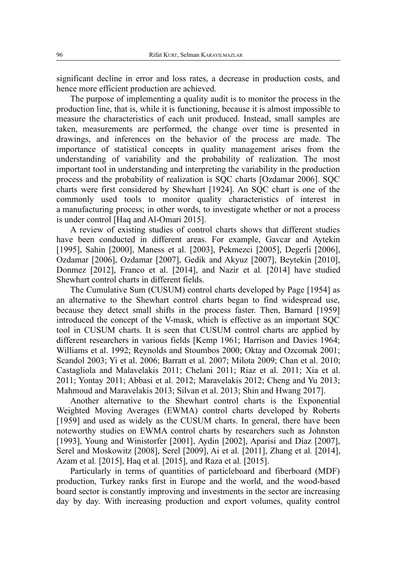significant decline in error and loss rates, a decrease in production costs, and hence more efficient production are achieved.

The purpose of implementing a quality audit is to monitor the process in the production line, that is, while it is functioning, because it is almost impossible to measure the characteristics of each unit produced. Instead, small samples are taken, measurements are performed, the change over time is presented in drawings, and inferences on the behavior of the process are made. The importance of statistical concepts in quality management arises from the understanding of variability and the probability of realization. The most important tool in understanding and interpreting the variability in the production process and the probability of realization is SQC charts [Ozdamar 2006]. SQC charts were first considered by Shewhart [1924]. An SQC chart is one of the commonly used tools to monitor quality characteristics of interest in a manufacturing process; in other words, to investigate whether or not a process is under control [Haq and Al-Omari 2015].

A review of existing studies of control charts shows that different studies have been conducted in different areas. For example, Gavcar and Aytekin [1995], Sahin [2000], Maness et al*.* [2003], Pekmezci [2005], Degerli [2006], Ozdamar [2006], Ozdamar [2007], Gedik and Akyuz [2007], Beytekin [2010], Donmez [2012], Franco et al. [2014], and Nazir et al*.* [2014] have studied Shewhart control charts in different fields.

The Cumulative Sum (CUSUM) control charts developed by Page [1954] as an alternative to the Shewhart control charts began to find widespread use, because they detect small shifts in the process faster. Then, Barnard [1959] introduced the concept of the V-mask, which is effective as an important SQC tool in CUSUM charts. It is seen that CUSUM control charts are applied by different researchers in various fields [Kemp 1961; Harrison and Davies 1964; Williams et al. 1992; Reynolds and Stoumbos 2000; Oktay and Ozcomak 2001; Scandol 2003; Yi et al. 2006; Barratt et al. 2007; Milota 2009; Chan et al. 2010; Castagliola and Malavelakis 2011; Chelani 2011; Riaz et al. 2011; Xia et al. 2011; Yontay 2011; Abbasi et al. 2012; Maravelakis 2012; Cheng and Yu 2013; Mahmoud and Maravelakis 2013; Silvan et al. 2013; Shin and Hwang 2017].

Another alternative to the Shewhart control charts is the Exponential Weighted Moving Averages (EWMA) control charts developed by Roberts [1959] and used as widely as the CUSUM charts. In general, there have been noteworthy studies on EWMA control charts by researchers such as Johnston [1993], Young and Winistorfer [2001], Aydin [2002], Aparisi and Díaz [2007], Serel and Moskowitz [2008], Serel [2009], Ai et al*.* [2011], Zhang et al*.* [2014], Azam et al*.* [2015], Haq et al*.* [2015], and Raza et al*.* [2015].

Particularly in terms of quantities of particleboard and fiberboard (MDF) production, Turkey ranks first in Europe and the world, and the wood-based board sector is constantly improving and investments in the sector are increasing day by day. With increasing production and export volumes, quality control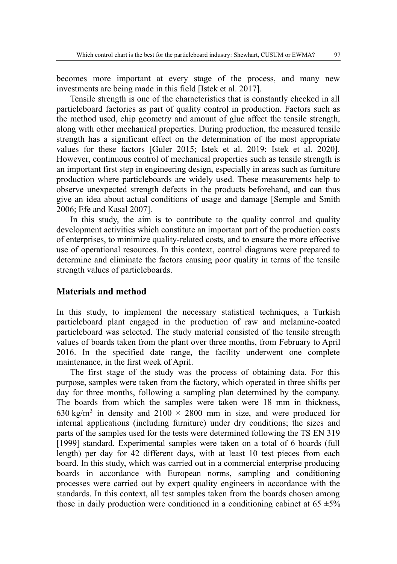becomes more important at every stage of the process, and many new investments are being made in this field [Istek et al. 2017].

Tensile strength is one of the characteristics that is constantly checked in all particleboard factories as part of quality control in production. Factors such as the method used, chip geometry and amount of glue affect the tensile strength, along with other mechanical properties. During production, the measured tensile strength has a significant effect on the determination of the most appropriate values for these factors [Guler 2015; Istek et al. 2019; Istek et al. 2020]. However, continuous control of mechanical properties such as tensile strength is an important first step in engineering design, especially in areas such as furniture production where particleboards are widely used. These measurements help to observe unexpected strength defects in the products beforehand, and can thus give an idea about actual conditions of usage and damage [Semple and Smith 2006; Efe and Kasal 2007].

In this study, the aim is to contribute to the quality control and quality development activities which constitute an important part of the production costs of enterprises, to minimize quality-related costs, and to ensure the more effective use of operational resources. In this context, control diagrams were prepared to determine and eliminate the factors causing poor quality in terms of the tensile strength values of particleboards.

#### **Materials and method**

In this study, to implement the necessary statistical techniques, a Turkish particleboard plant engaged in the production of raw and melamine-coated particleboard was selected. The study material consisted of the tensile strength values of boards taken from the plant over three months, from February to April 2016. In the specified date range, the facility underwent one complete maintenance, in the first week of April.

The first stage of the study was the process of obtaining data. For this purpose, samples were taken from the factory, which operated in three shifts per day for three months, following a sampling plan determined by the company. The boards from which the samples were taken were 18 mm in thickness, 630 kg/m<sup>3</sup> in density and 2100  $\times$  2800 mm in size, and were produced for internal applications (including furniture) under dry conditions; the sizes and parts of the samples used for the tests were determined following the TS EN 319 [1999] standard. Experimental samples were taken on a total of 6 boards (full length) per day for 42 different days, with at least 10 test pieces from each board. In this study, which was carried out in a commercial enterprise producing boards in accordance with European norms, sampling and conditioning processes were carried out by expert quality engineers in accordance with the standards. In this context, all test samples taken from the boards chosen among those in daily production were conditioned in a conditioning cabinet at  $65 \pm 5\%$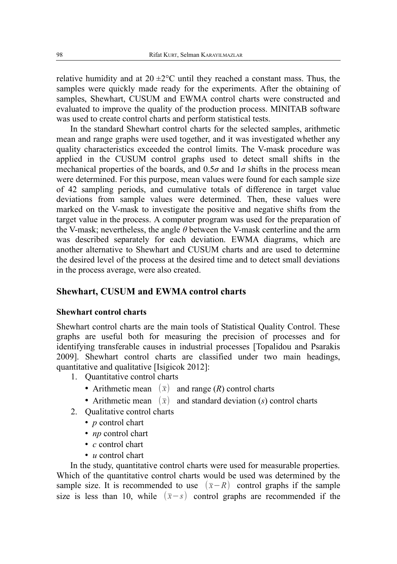relative humidity and at  $20 \pm 2^{\circ}$ C until they reached a constant mass. Thus, the samples were quickly made ready for the experiments. After the obtaining of samples, Shewhart, CUSUM and EWMA control charts were constructed and evaluated to improve the quality of the production process. MINITAB software was used to create control charts and perform statistical tests.

In the standard Shewhart control charts for the selected samples, arithmetic mean and range graphs were used together, and it was investigated whether any quality characteristics exceeded the control limits. The V-mask procedure was applied in the CUSUM control graphs used to detect small shifts in the mechanical properties of the boards, and  $0.5\sigma$  and  $1\sigma$  shifts in the process mean were determined. For this purpose, mean values were found for each sample size of 42 sampling periods, and cumulative totals of difference in target value deviations from sample values were determined. Then, these values were marked on the V-mask to investigate the positive and negative shifts from the target value in the process. A computer program was used for the preparation of the V-mask; nevertheless, the angle *θ* between the V-mask centerline and the arm was described separately for each deviation. EWMA diagrams, which are another alternative to Shewhart and CUSUM charts and are used to determine the desired level of the process at the desired time and to detect small deviations in the process average, were also created.

### **Shewhart, CUSUM and EWMA control charts**

#### **Shewhart control charts**

Shewhart control charts are the main tools of Statistical Quality Control. These graphs are useful both for measuring the precision of processes and for identifying transferable causes in industrial processes [Topalidou and Psarakis 2009]. Shewhart control charts are classified under two main headings, quantitative and qualitative [Isigicok 2012]:

- 1. Quantitative control charts
	- Arithmetic mean  $(\bar{x})$  and range  $(R)$  control charts
	- Arithmetic mean  $(\bar{x})$  and standard deviation (*s*) control charts
- 2. Qualitative control charts
	- *p* control chart
	- *np* control chart
	- *c* control chart
	- *u* control chart

In the study, quantitative control charts were used for measurable properties. Which of the quantitative control charts would be used was determined by the sample size. It is recommended to use  $(\bar{x}-R)$  control graphs if the sample size is less than 10, while  $(\bar{x}-s)$  control graphs are recommended if the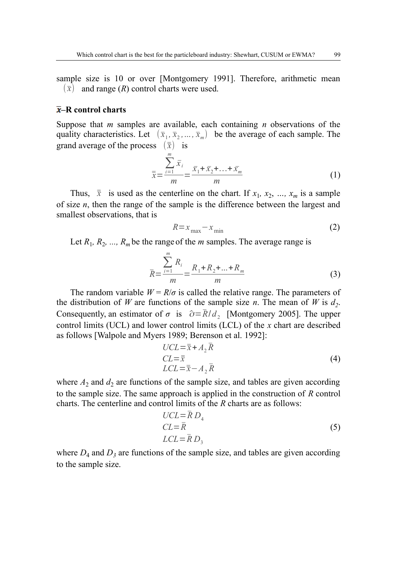sample size is 10 or over [Montgomery 1991]. Therefore, arithmetic mean  $(\bar{x})$  and range (*R*) control charts were used.

#### **–R control charts**

Suppose that *m* samples are available, each containing *n* observations of the quality characteristics. Let  $(\bar{x}_1, \bar{x}_2, ..., \bar{x}_m)$  be the average of each sample. The grand average of the process  $(\bar{\bar{x}})$  is

$$
\bar{\bar{x}} = \frac{\sum_{i=1}^{m} \bar{x}_i}{m} = \frac{\bar{x}_1 + \bar{x}_2 + \dots + \bar{x}_m}{m}
$$
(1)

Thus,  $\bar{x}$  is used as the centerline on the chart. If  $x_1, x_2, ..., x_m$  is a sample of size *n*, then the range of the sample is the difference between the largest and smallest observations, that is

$$
R = x_{\text{max}} - x_{\text{min}} \tag{2}
$$

Let  $R_1$ ,  $R_2$ , ...,  $R_m$  be the range of the *m* samples. The average range is

$$
\bar{R} = \frac{\sum_{i=1}^{m} R_i}{m} = \frac{R_1 + R_2 + \dots + R_m}{m}
$$
(3)

The random variable  $W = R/\sigma$  is called the relative range. The parameters of the distribution of *W* are functions of the sample size *n*. The mean of *W* is  $d_2$ . Consequently, an estimator of  $\sigma$  is  $\hat{\sigma} = \bar{R}/d_2$  [Montgomery 2005]. The upper control limits (UCL) and lower control limits (LCL) of the *x* chart are described as follows [Walpole and Myers 1989; Berenson et al. 1992]:

$$
UCL = \overline{\overline{x}} + A_2 \overline{R}
$$
  
\n
$$
CL = \overline{\overline{x}} - A_2 \overline{R}
$$
\n(4)

where  $A_2$  and  $A_2$  are functions of the sample size, and tables are given according to the sample size. The same approach is applied in the construction of *R* control charts. The centerline and control limits of the *R* charts are as follows:

$$
UCL = \overline{R} D_4
$$
  
CL =  $\overline{R}$  (5)  
LCL =  $\overline{R} D_3$ 

where  $D_4$  and  $D_3$  are functions of the sample size, and tables are given according to the sample size.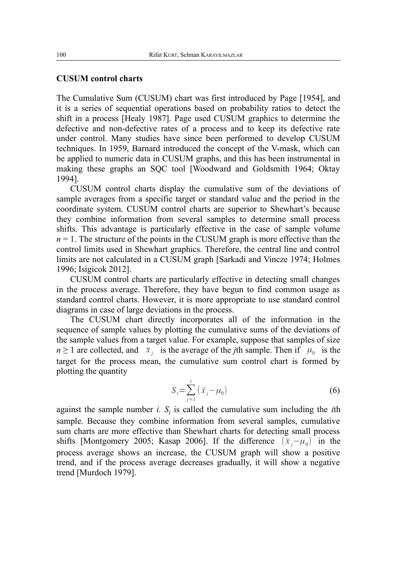#### **CUSUM control charts**

The Cumulative Sum (CUSUM) chart was first introduced by Page [1954], and it is a series of sequential operations based on probability ratios to detect the shift in a process [Healy 1987]. Page used CUSUM graphics to determine the defective and non-defective rates of a process and to keep its defective rate under control. Many studies have since been performed to develop CUSUM techniques. In 1959, Barnard introduced the concept of the V-mask, which can be applied to numeric data in CUSUM graphs, and this has been instrumental in making these graphs an SQC tool [Woodward and Goldsmith 1964; Oktay 1994].

CUSUM control charts display the cumulative sum of the deviations of sample averages from a specific target or standard value and the period in the coordinate system. CUSUM control charts are superior to Shewhart's because they combine information from several samples to determine small process shifts. This advantage is particularly effective in the case of sample volume  $n = 1$ . The structure of the points in the CUSUM graph is more effective than the control limits used in Shewhart graphics. Therefore, the central line and control limits are not calculated in a CUSUM graph [Sarkadi and Vincze 1974; Holmes 1996; Isigicok 2012].

CUSUM control charts are particularly effective in detecting small changes in the process average. Therefore, they have begun to find common usage as standard control charts. However, it is more appropriate to use standard control diagrams in case of large deviations in the process.

The CUSUM chart directly incorporates all of the information in the sequence of sample values by plotting the cumulative sums of the deviations of the sample values from a target value. For example, suppose that samples of size *n*  $\geq$  1 are collected, and  $\bar{x}_j$  is the average of the *j*th sample. Then if  $\mu_0$  is the target for the process mean, the cumulative sum control chart is formed by plotting the quantity

$$
S_i = \sum_{j=1}^i \left( \bar{x}_j - \mu_0 \right) \tag{6}
$$

against the sample number  $i$ .  $S_i$  is called the cumulative sum including the  $i$ th sample. Because they combine information from several samples, cumulative sum charts are more effective than Shewhart charts for detecting small process shifts [Montgomery 2005; Kasap 2006]. If the difference  $(\bar{x}_j - \mu_0)$  in the process average shows an increase, the CUSUM graph will show a positive trend, and if the process average decreases gradually, it will show a negative trend [Murdoch 1979].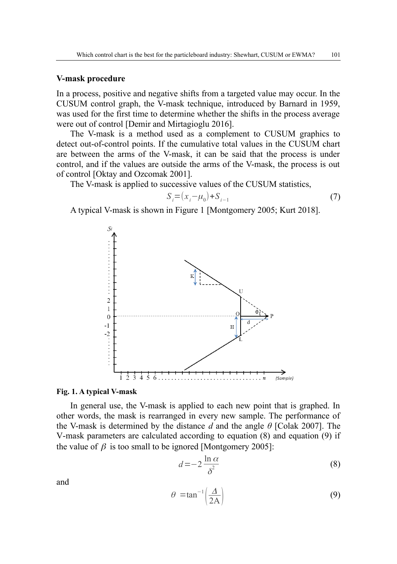#### **V-mask procedure**

In a process, positive and negative shifts from a targeted value may occur. In the CUSUM control graph, the V-mask technique, introduced by Barnard in 1959, was used for the first time to determine whether the shifts in the process average were out of control [Demir and Mirtagioglu 2016].

The V-mask is a method used as a complement to CUSUM graphics to detect out-of-control points. If the cumulative total values in the CUSUM chart are between the arms of the V-mask, it can be said that the process is under control, and if the values are outside the arms of the V-mask, the process is out of control [Oktay and Ozcomak 2001].

The V-mask is applied to successive values of the CUSUM statistics,

$$
S_i = (x_i - \mu_0) + S_{i-1}
$$
 (7)

A typical V-mask is shown in Figure 1 [Montgomery 2005; Kurt 2018].



#### **Fig. 1. A typical V-mask**

In general use, the V-mask is applied to each new point that is graphed. In other words, the mask is rearranged in every new sample. The performance of the V-mask is determined by the distance *d* and the angle *θ* [Colak 2007]. The V-mask parameters are calculated according to equation (8) and equation (9) if the value of  $\beta$  is too small to be ignored [Montgomery 2005]:

$$
d = -2\frac{\ln \alpha}{\delta^2} \tag{8}
$$

and

$$
\theta = \tan^{-1}\left(\frac{\Delta}{2A}\right) \tag{9}
$$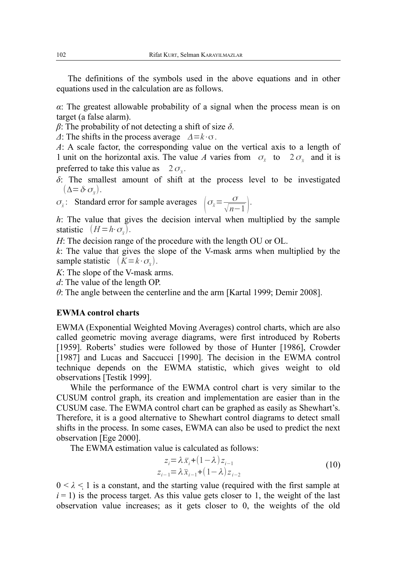The definitions of the symbols used in the above equations and in other equations used in the calculation are as follows.

*α*: The greatest allowable probability of a signal when the process mean is on target (a false alarm).

*β*: The probability of not detecting a shift of size *δ*.

*Δ*: The shifts in the process average <sup>Δ</sup>=*k*⋅σ.

*A*: A scale factor, the corresponding value on the vertical axis to a length of 1 unit on the horizontal axis. The value A varies from  $\sigma_x$  to  $2\sigma_{\overline{x}}$  and it is preferred to take this value as  $2\sigma_{\overline{x}}$ .

*δ*: The smallest amount of shift at the process level to be investigated  $(\Delta = \delta \cdot \sigma_{\bar{x}}).$ 

$$
\sigma_{\overline{x}}
$$
: Standard error for sample averages  $\left(\sigma_{\overline{x}} = \frac{\sigma}{\sqrt{n-1}}\right)$ .

*h*: The value that gives the decision interval when multiplied by the sample statistic  $(H = h \cdot \sigma_{\bar{x}})$ .

*H*: The decision range of the procedure with the length OU or OL.

*k*: The value that gives the slope of the V-mask arms when multiplied by the sample statistic  $(K = k \cdot \sigma_{\overline{x}})$ .

*K*: The slope of the V-mask arms.

*d*: The value of the length OP.

*θ*: The angle between the centerline and the arm [Kartal 1999; Demir 2008].

### **EWMA control charts**

EWMA (Exponential Weighted Moving Averages) control charts, which are also called geometric moving average diagrams, were first introduced by Roberts [1959]. Roberts' studies were followed by those of Hunter [1986], Crowder [1987] and Lucas and Saccucci [1990]. The decision in the EWMA control technique depends on the EWMA statistic, which gives weight to old observations [Testik 1999].

While the performance of the EWMA control chart is very similar to the CUSUM control graph, its creation and implementation are easier than in the CUSUM case. The EWMA control chart can be graphed as easily as Shewhart's. Therefore, it is a good alternative to Shewhart control diagrams to detect small shifts in the process. In some cases, EWMA can also be used to predict the next observation [Ege 2000].

The EWMA estimation value is calculated as follows:

$$
z_i = \lambda \bar{x}_i + (1 - \lambda) z_{i-1}
$$
  
\n
$$
z_{i-1} = \lambda \bar{x}_{i-1} + (1 - \lambda) z_{i-2}
$$
\n(10)

 $0 < \lambda < 1$  is a constant, and the starting value (required with the first sample at  $i = 1$ ) is the process target. As this value gets closer to 1, the weight of the last observation value increases; as it gets closer to 0, the weights of the old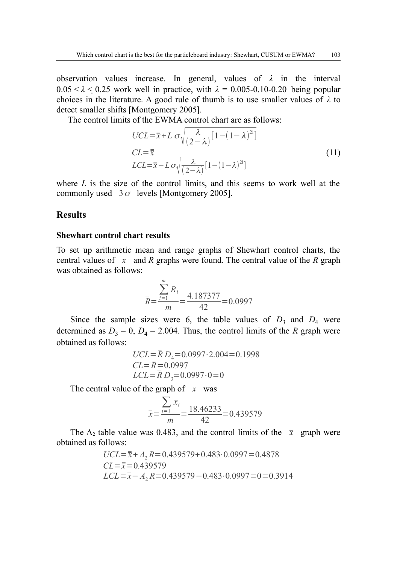observation values increase. In general, values of *λ* in the interval  $0.05 < \lambda < 0.25$  work well in practice, with  $\lambda = 0.005$ -0.10-0.20 being popular choices in the literature. A good rule of thumb is to use smaller values of  $\lambda$  to detect smaller shifts [Montgomery 2005].

The control limits of the EWMA control chart are as follows:

$$
UCL = \overline{\overline{x}} + L \sigma \sqrt{\frac{\lambda}{(2-\lambda)} [1 - (1-\lambda)^{2i}]}
$$
  
\n
$$
CL = \overline{\overline{x}}
$$
  
\n
$$
LCL = \overline{x} - L \sigma \sqrt{\frac{\lambda}{(2-\lambda)} [1 - (1-\lambda)^{2i}]}
$$
\n(11)

where *L* is the size of the control limits, and this seems to work well at the commonly used  $3\sigma$  levels [Montgomery 2005].

### **Results**

#### **Shewhart control chart results**

To set up arithmetic mean and range graphs of Shewhart control charts, the central values of  $\bar{x}$  and *R* graphs were found. The central value of the *R* graph was obtained as follows:

$$
\overline{R} = \frac{\sum_{i=1}^{m} R_i}{m} = \frac{4.187377}{42} = 0.0997
$$

Since the sample sizes were 6, the table values of  $D_3$  and  $D_4$  were determined as  $D_3 = 0$ ,  $D_4 = 2.004$ . Thus, the control limits of the *R* graph were obtained as follows:

$$
UCL = \bar{R} D_4 = 0.0997 \cdot 2.004 = 0.1998
$$
  
CL =  $\bar{R} = 0.0997$   
LCL =  $\bar{R} D_3 = 0.0997 \cdot 0 = 0$ 

The central value of the graph of  $\bar{x}$  was

$$
\bar{x} = \frac{\sum_{i=1} \bar{x}_i}{m} = \frac{18.46233}{42} = 0.439579
$$

The A<sub>2</sub> table value was 0.483, and the control limits of the  $\bar{x}$  graph were obtained as follows:

$$
UCL = \bar{x} + A_2 \bar{R} = 0.439579 + 0.483 \cdot 0.0997 = 0.4878
$$
  
CL =  $\bar{x}$  = 0.439579  
LCL =  $\bar{x} - A_2 \bar{R}$  = 0.439579 - 0.483 \cdot 0.0997 = 0 = 0.3914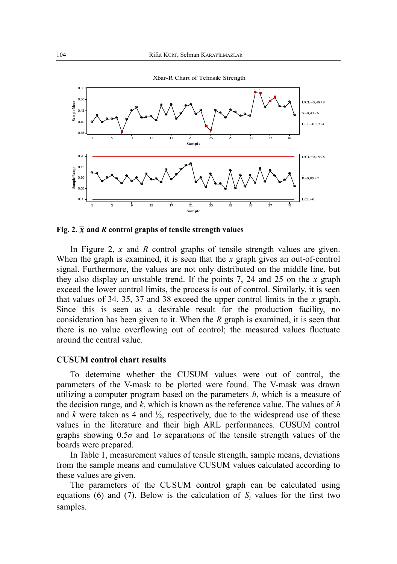

Fig. 2.  $\bar{x}$  and *R* control graphs of tensile strength values

In Figure 2, *x* and *R* control graphs of tensile strength values are given. When the graph is examined, it is seen that the *x* graph gives an out-of-control signal. Furthermore, the values are not only distributed on the middle line, but they also display an unstable trend. If the points 7, 24 and 25 on the *x* graph exceed the lower control limits, the process is out of control. Similarly, it is seen that values of 34, 35, 37 and 38 exceed the upper control limits in the *x* graph. Since this is seen as a desirable result for the production facility, no consideration has been given to it. When the *R* graph is examined, it is seen that there is no value overflowing out of control; the measured values fluctuate around the central value.

#### **CUSUM control chart results**

To determine whether the CUSUM values were out of control, the parameters of the V-mask to be plotted were found. The V-mask was drawn utilizing a computer program based on the parameters *h*, which is a measure of the decision range, and *k*, which is known as the reference value. The values of *h* and  $k$  were taken as 4 and  $\frac{1}{2}$ , respectively, due to the widespread use of these values in the literature and their high ARL performances. CUSUM control graphs showing  $0.5\sigma$  and  $1\sigma$  separations of the tensile strength values of the boards were prepared.

In Table 1, measurement values of tensile strength, sample means, deviations from the sample means and cumulative CUSUM values calculated according to these values are given.

The parameters of the CUSUM control graph can be calculated using equations (6) and (7). Below is the calculation of  $S_i$  values for the first two samples.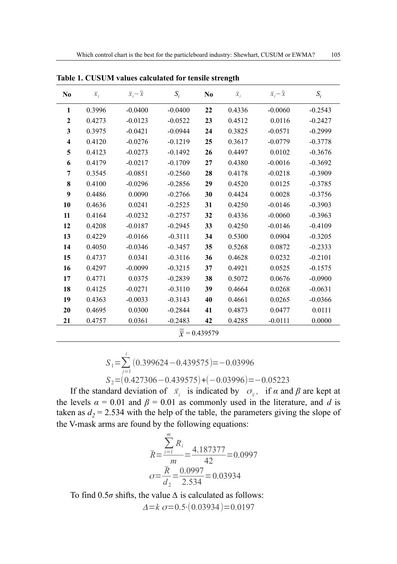| N <sub>0</sub>                       | $\overline{x}_i$ | $\overline{x}_i - \overline{\overline{x}}$ | $S_i$     | N <sub>0</sub> | $\overline{x}_i$ | $\overline{x}_i - \overline{\overline{x}}$ | $S_i$     |  |  |  |
|--------------------------------------|------------------|--------------------------------------------|-----------|----------------|------------------|--------------------------------------------|-----------|--|--|--|
| 1                                    | 0.3996           | $-0.0400$                                  | $-0.0400$ | 22             | 0.4336           | $-0.0060$                                  | $-0.2543$ |  |  |  |
| $\mathbf{2}$                         | 0.4273           | $-0.0123$                                  | $-0.0522$ | 23             | 0.4512           | 0.0116                                     | $-0.2427$ |  |  |  |
| 3                                    | 0.3975           | $-0.0421$                                  | $-0.0944$ | 24             | 0.3825           | $-0.0571$                                  | $-0.2999$ |  |  |  |
| $\overline{\bf{4}}$                  | 0.4120           | $-0.0276$                                  | $-0.1219$ | 25             | 0.3617           | $-0.0779$                                  | $-0.3778$ |  |  |  |
| 5                                    | 0.4123           | $-0.0273$                                  | $-0.1492$ | 26             | 0.4497           | 0.0102                                     | $-0.3676$ |  |  |  |
| 6                                    | 0.4179           | $-0.0217$                                  | $-0.1709$ | 27             | 0.4380           | $-0.0016$                                  | $-0.3692$ |  |  |  |
| 7                                    | 0.3545           | $-0.0851$                                  | $-0.2560$ | 28             | 0.4178           | $-0.0218$                                  | $-0.3909$ |  |  |  |
| 8                                    | 0.4100           | $-0.0296$                                  | $-0.2856$ | 29             | 0.4520           | 0.0125                                     | $-0.3785$ |  |  |  |
| 9                                    | 0.4486           | 0.0090                                     | $-0.2766$ | 30             | 0.4424           | 0.0028                                     | $-0.3756$ |  |  |  |
| 10                                   | 0.4636           | 0.0241                                     | $-0.2525$ | 31             | 0.4250           | $-0.0146$                                  | $-0.3903$ |  |  |  |
| 11                                   | 0.4164           | $-0.0232$                                  | $-0.2757$ | 32             | 0.4336           | $-0.0060$                                  | $-0.3963$ |  |  |  |
| 12                                   | 0.4208           | $-0.0187$                                  | $-0.2945$ | 33             | 0.4250           | $-0.0146$                                  | $-0.4109$ |  |  |  |
| 13                                   | 0.4229           | $-0.0166$                                  | $-0.3111$ | 34             | 0.5300           | 0.0904                                     | $-0.3205$ |  |  |  |
| 14                                   | 0.4050           | $-0.0346$                                  | $-0.3457$ | 35             | 0.5268           | 0.0872                                     | $-0.2333$ |  |  |  |
| 15                                   | 0.4737           | 0.0341                                     | $-0.3116$ | 36             | 0.4628           | 0.0232                                     | $-0.2101$ |  |  |  |
| 16                                   | 0.4297           | $-0.0099$                                  | $-0.3215$ | 37             | 0.4921           | 0.0525                                     | $-0.1575$ |  |  |  |
| 17                                   | 0.4771           | 0.0375                                     | $-0.2839$ | 38             | 0.5072           | 0.0676                                     | $-0.0900$ |  |  |  |
| 18                                   | 0.4125           | $-0.0271$                                  | $-0.3110$ | 39             | 0.4664           | 0.0268                                     | $-0.0631$ |  |  |  |
| 19                                   | 0.4363           | $-0.0033$                                  | $-0.3143$ | 40             | 0.4661           | 0.0265                                     | $-0.0366$ |  |  |  |
| 20                                   | 0.4695           | 0.0300                                     | $-0.2844$ | 41             | 0.4873           | 0.0477                                     | 0.0111    |  |  |  |
| 21                                   | 0.4757           | 0.0361                                     | $-0.2483$ | 42             | 0.4285           | $-0.0111$                                  | 0.0000    |  |  |  |
| $\overline{\overline{x}}$ = 0.439579 |                  |                                            |           |                |                  |                                            |           |  |  |  |

**Table 1. CUSUM values calculated for tensile strength**

$$
S_1 = \sum_{j=1}^{i} (0.399624 - 0.439575) = -0.03996
$$
  
\n
$$
S_2 = (0.427306 - 0.439575) + (-0.03996) = -0.05223
$$

If the standard deviation of  $\bar{x}_i$  is indicated by  $\sigma_{\bar{x}}$ , if  $\alpha$  and  $\beta$  are kept at the levels  $\alpha = 0.01$  and  $\beta = 0.01$  as commonly used in the literature, and *d* is taken as  $d_2$  = 2.534 with the help of the table, the parameters giving the slope of the V-mask arms are found by the following equations:

$$
\overline{R} = \frac{\sum_{i=1}^{n} R_i}{m} = \frac{4.187377}{42} = 0.0997
$$

$$
\sigma = \frac{\overline{R}}{d_2} = \frac{0.0997}{2.534} = 0.03934
$$

To find 0.5*σ* shifts, the value *∆* is calculated as follows:  $\Delta = k \sigma = 0.5 \cdot (0.03934) = 0.0197$ 

*m*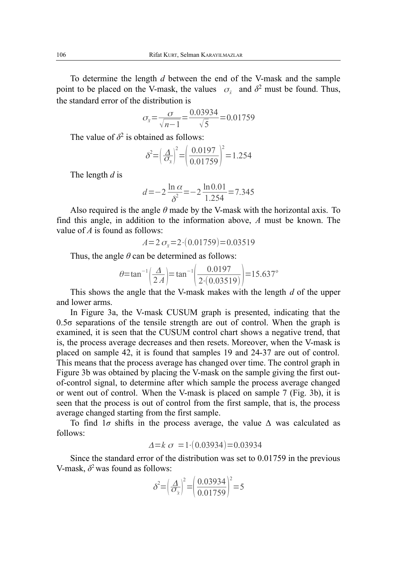To determine the length *d* between the end of the V-mask and the sample point to be placed on the V-mask, the values  $\sigma_{\bar{x}}$  and  $\delta^2$  must be found. Thus, the standard error of the distribution is

$$
\sigma_{\bar{x}} = \frac{\sigma}{\sqrt{n-1}} = \frac{0.03934}{\sqrt{5}} = 0.01759
$$

The value of  $\delta^2$  is obtained as follows:

$$
\delta^2 = \left(\frac{\Delta}{\sigma_{\bar{x}}}\right)^2 = \left(\frac{0.0197}{0.01759}\right)^2 = 1.254
$$

The length *d* is

$$
d = -2\frac{\ln \alpha}{\delta^2} = -2\frac{\ln 0.01}{1.254} = 7.345
$$

Also required is the angle  $\theta$  made by the V-mask with the horizontal axis. To find this angle, in addition to the information above, *A* must be known. The value of *A* is found as follows:

$$
A=2 \sigma_{\bar{x}}=2\cdot(0.01759)=0.03519
$$

Thus, the angle  $\theta$  can be determined as follows:

$$
\theta = \tan^{-1}\left(\frac{\Delta}{2A}\right) = \tan^{-1}\left(\frac{0.0197}{2 \cdot (0.03519)}\right) = 15.637^{\circ}
$$

This shows the angle that the V-mask makes with the length *d* of the upper and lower arms.

In Figure 3a, the V-mask CUSUM graph is presented, indicating that the  $0.5\sigma$  separations of the tensile strength are out of control. When the graph is examined, it is seen that the CUSUM control chart shows a negative trend, that is, the process average decreases and then resets. Moreover, when the V-mask is placed on sample 42, it is found that samples 19 and 24-37 are out of control. This means that the process average has changed over time. The control graph in Figure 3b was obtained by placing the V-mask on the sample giving the first outof-control signal, to determine after which sample the process average changed or went out of control. When the V-mask is placed on sample 7 (Fig. 3b), it is seen that the process is out of control from the first sample, that is, the process average changed starting from the first sample.

To find 1*σ* shifts in the process average, the value *∆* was calculated as follows:

$$
\Delta = k \sigma = 1 \cdot (0.03934) = 0.03934
$$

Since the standard error of the distribution was set to 0.01759 in the previous V-mask,  $\delta^2$  was found as follows:

$$
\delta^2 = \left(\frac{\Delta}{\sigma_{\bar{x}}}\right)^2 = \left(\frac{0.03934}{0.01759}\right)^2 = 5
$$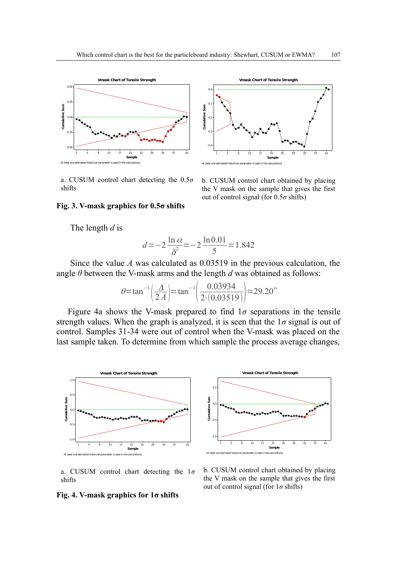



a. CUSUM control chart detecting the 0.5*σ* shifts

b. CUSUM control chart obtained by placing the V mask on the sample that gives the first out of control signal (for 0.5*σ* shifts)

### **Fig. 3. V-mask graphics for 0.5σ shifts**

The length *d* is

$$
d = -2\frac{\ln \alpha}{\delta^2} = -2\frac{\ln 0.01}{5} = 1.842
$$

Since the value *A* was calculated as 0.03519 in the previous calculation, the angle *θ* between the V-mask arms and the length *d* was obtained as follows:

$$
\theta = \tan^{-1}\left(\frac{\Delta}{2A}\right) = \tan^{-1}\left(\frac{0.03934}{2 \cdot (0.03519)}\right) = 29.20^{\circ}
$$

Figure 4a shows the V-mask prepared to find  $1\sigma$  separations in the tensile strength values. When the graph is analyzed, it is seen that the  $1\sigma$  signal is out of control. Samples 31-34 were out of control when the V-mask was placed on the last sample taken. To determine from which sample the process average changes,





a. CUSUM control chart detecting the 1*σ* shifts

#### b. CUSUM control chart obtained by placing the V mask on the sample that gives the first out of control signal (for 1*σ* shifts)

#### **Fig. 4. V-mask graphics for 1σ shifts**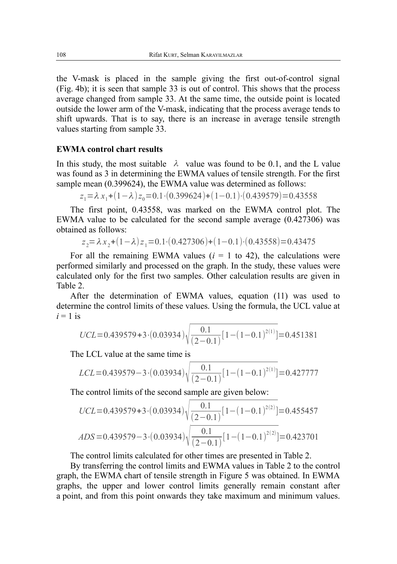the V-mask is placed in the sample giving the first out-of-control signal (Fig. 4b); it is seen that sample 33 is out of control. This shows that the process average changed from sample 33. At the same time, the outside point is located outside the lower arm of the V-mask, indicating that the process average tends to shift upwards. That is to say, there is an increase in average tensile strength values starting from sample 33.

### **EWMA control chart results**

In this study, the most suitable  $\lambda$  value was found to be 0.1, and the L value was found as 3 in determining the EWMA values of tensile strength. For the first sample mean (0.399624), the EWMA value was determined as follows:

$$
z_1 = \lambda x_1 + (1 - \lambda) z_0 = 0.1 \cdot (0.399624) + (1 - 0.1) \cdot (0.439579) = 0.43558
$$

The first point, 0.43558, was marked on the EWMA control plot. The EWMA value to be calculated for the second sample average (0.427306) was obtained as follows:

$$
z_2 = \lambda x_2 + (1 - \lambda) z_1 = 0.1 \cdot (0.427306) + (1 - 0.1) \cdot (0.43558) = 0.43475
$$

For all the remaining EWMA values  $(i = 1$  to 42), the calculations were performed similarly and processed on the graph. In the study, these values were calculated only for the first two samples. Other calculation results are given in Table 2.

After the determination of EWMA values, equation (11) was used to determine the control limits of these values. Using the formula, the UCL value at  $i = 1$  is

$$
UCL = 0.439579 + 3 \cdot (0.03934) \sqrt{\frac{0.1}{(2 - 0.1)} [1 - (1 - 0.1)^{2(1)}]} = 0.451381
$$

The LCL value at the same time is

$$
LCL = 0.439579 - 3 \cdot (0.03934) \sqrt{\frac{0.1}{(2 - 0.1)} [1 - (1 - 0.1)^{2(1)}]} = 0.427777
$$

The control limits of the second sample are given below:

$$
UCL = 0.439579 + 3 \cdot (0.03934) \sqrt{\frac{0.1}{(2 - 0.1)} [1 - (1 - 0.1)^{2(2)}]} = 0.455457
$$
  
ADS = 0.439579 - 3 \cdot (0.03934) \sqrt{\frac{0.1}{(2 - 0.1)} [1 - (1 - 0.1)^{2(2)}]} = 0.423701

The control limits calculated for other times are presented in Table 2.

By transferring the control limits and EWMA values in Table 2 to the control graph, the EWMA chart of tensile strength in Figure 5 was obtained. In EWMA graphs, the upper and lower control limits generally remain constant after a point, and from this point onwards they take maximum and minimum values.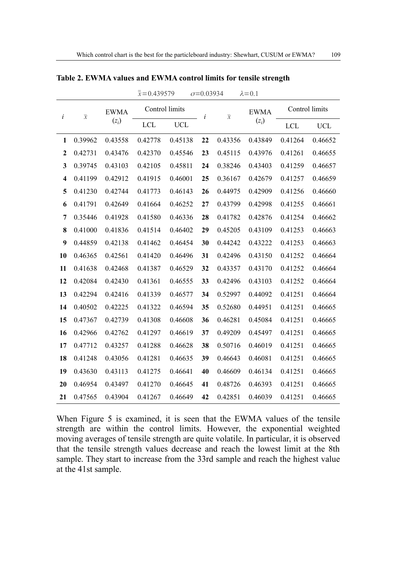|                         |                          |                        | $\bar{\bar{x}} = 0.439579$ |            | $\sigma = 0.03934$ |                          | $\lambda = 0.1$ |                |            |
|-------------------------|--------------------------|------------------------|----------------------------|------------|--------------------|--------------------------|-----------------|----------------|------------|
| $\dot{i}$               | $\overline{\mathcal{X}}$ | <b>EWMA</b><br>$(z_i)$ | Control limits             |            | i                  | $\overline{\mathcal{X}}$ | <b>EWMA</b>     | Control limits |            |
|                         |                          |                        | <b>LCL</b>                 | <b>UCL</b> |                    |                          | $(z_i)$         | LCL            | <b>UCL</b> |
| 1                       | 0.39962                  | 0.43558                | 0.42778                    | 0.45138    | 22                 | 0.43356                  | 0.43849         | 0.41264        | 0.46652    |
| $\boldsymbol{2}$        | 0.42731                  | 0.43476                | 0.42370                    | 0.45546    | 23                 | 0.45115                  | 0.43976         | 0.41261        | 0.46655    |
| 3                       | 0.39745                  | 0.43103                | 0.42105                    | 0.45811    | 24                 | 0.38246                  | 0.43403         | 0.41259        | 0.46657    |
| $\overline{\mathbf{4}}$ | 0.41199                  | 0.42912                | 0.41915                    | 0.46001    | 25                 | 0.36167                  | 0.42679         | 0.41257        | 0.46659    |
| 5                       | 0.41230                  | 0.42744                | 0.41773                    | 0.46143    | 26                 | 0.44975                  | 0.42909         | 0.41256        | 0.46660    |
| 6                       | 0.41791                  | 0.42649                | 0.41664                    | 0.46252    | 27                 | 0.43799                  | 0.42998         | 0.41255        | 0.46661    |
| 7                       | 0.35446                  | 0.41928                | 0.41580                    | 0.46336    | 28                 | 0.41782                  | 0.42876         | 0.41254        | 0.46662    |
| 8                       | 0.41000                  | 0.41836                | 0.41514                    | 0.46402    | 29                 | 0.45205                  | 0.43109         | 0.41253        | 0.46663    |
| 9                       | 0.44859                  | 0.42138                | 0.41462                    | 0.46454    | 30                 | 0.44242                  | 0.43222         | 0.41253        | 0.46663    |
| 10                      | 0.46365                  | 0.42561                | 0.41420                    | 0.46496    | 31                 | 0.42496                  | 0.43150         | 0.41252        | 0.46664    |
| 11                      | 0.41638                  | 0.42468                | 0.41387                    | 0.46529    | 32                 | 0.43357                  | 0.43170         | 0.41252        | 0.46664    |
| 12                      | 0.42084                  | 0.42430                | 0.41361                    | 0.46555    | 33                 | 0.42496                  | 0.43103         | 0.41252        | 0.46664    |
| 13                      | 0.42294                  | 0.42416                | 0.41339                    | 0.46577    | 34                 | 0.52997                  | 0.44092         | 0.41251        | 0.46664    |
| 14                      | 0.40502                  | 0.42225                | 0.41322                    | 0.46594    | 35                 | 0.52680                  | 0.44951         | 0.41251        | 0.46665    |
| 15                      | 0.47367                  | 0.42739                | 0.41308                    | 0.46608    | 36                 | 0.46281                  | 0.45084         | 0.41251        | 0.46665    |
| 16                      | 0.42966                  | 0.42762                | 0.41297                    | 0.46619    | 37                 | 0.49209                  | 0.45497         | 0.41251        | 0.46665    |
| 17                      | 0.47712                  | 0.43257                | 0.41288                    | 0.46628    | 38                 | 0.50716                  | 0.46019         | 0.41251        | 0.46665    |
| 18                      | 0.41248                  | 0.43056                | 0.41281                    | 0.46635    | 39                 | 0.46643                  | 0.46081         | 0.41251        | 0.46665    |
| 19                      | 0.43630                  | 0.43113                | 0.41275                    | 0.46641    | 40                 | 0.46609                  | 0.46134         | 0.41251        | 0.46665    |
| 20                      | 0.46954                  | 0.43497                | 0.41270                    | 0.46645    | 41                 | 0.48726                  | 0.46393         | 0.41251        | 0.46665    |
| 21                      | 0.47565                  | 0.43904                | 0.41267                    | 0.46649    | 42                 | 0.42851                  | 0.46039         | 0.41251        | 0.46665    |

**Table 2. EWMA values and EWMA control limits for tensile strength**

When Figure 5 is examined, it is seen that the EWMA values of the tensile strength are within the control limits. However, the exponential weighted moving averages of tensile strength are quite volatile. In particular, it is observed that the tensile strength values decrease and reach the lowest limit at the 8th sample. They start to increase from the 33rd sample and reach the highest value at the 41st sample.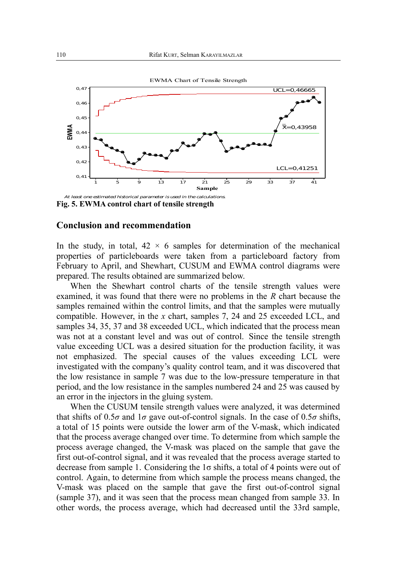

**Fig. 5. EWMA control chart of tensile strength**

#### **Conclusion and recommendation**

In the study, in total,  $42 \times 6$  samples for determination of the mechanical properties of particleboards were taken from a particleboard factory from February to April, and Shewhart, CUSUM and EWMA control diagrams were prepared. The results obtained are summarized below.

When the Shewhart control charts of the tensile strength values were examined, it was found that there were no problems in the *R* chart because the samples remained within the control limits, and that the samples were mutually compatible. However, in the *x* chart, samples 7, 24 and 25 exceeded LCL, and samples 34, 35, 37 and 38 exceeded UCL, which indicated that the process mean was not at a constant level and was out of control. Since the tensile strength value exceeding UCL was a desired situation for the production facility, it was not emphasized. The special causes of the values exceeding LCL were investigated with the company's quality control team, and it was discovered that the low resistance in sample 7 was due to the low-pressure temperature in that period, and the low resistance in the samples numbered 24 and 25 was caused by an error in the injectors in the gluing system.

When the CUSUM tensile strength values were analyzed, it was determined that shifts of  $0.5\sigma$  and  $1\sigma$  gave out-of-control signals. In the case of  $0.5\sigma$  shifts, a total of 15 points were outside the lower arm of the V-mask, which indicated that the process average changed over time. To determine from which sample the process average changed, the V-mask was placed on the sample that gave the first out-of-control signal, and it was revealed that the process average started to decrease from sample 1. Considering the 1σ shifts, a total of 4 points were out of control. Again, to determine from which sample the process means changed, the V-mask was placed on the sample that gave the first out-of-control signal (sample 37), and it was seen that the process mean changed from sample 33. In other words, the process average, which had decreased until the 33rd sample,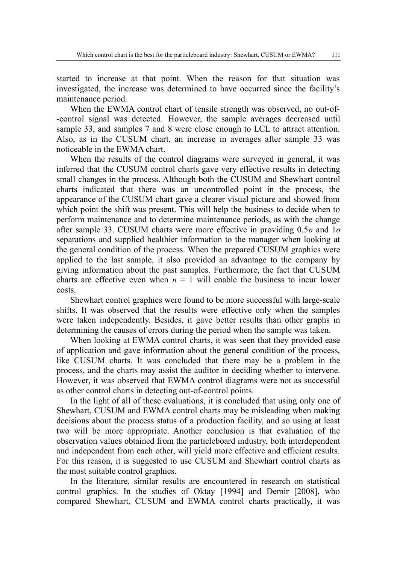started to increase at that point. When the reason for that situation was investigated, the increase was determined to have occurred since the facility's maintenance period.

When the EWMA control chart of tensile strength was observed, no out-of- -control signal was detected. However, the sample averages decreased until sample 33, and samples 7 and 8 were close enough to LCL to attract attention. Also, as in the CUSUM chart, an increase in averages after sample 33 was noticeable in the EWMA chart.

When the results of the control diagrams were surveyed in general, it was inferred that the CUSUM control charts gave very effective results in detecting small changes in the process. Although both the CUSUM and Shewhart control charts indicated that there was an uncontrolled point in the process, the appearance of the CUSUM chart gave a clearer visual picture and showed from which point the shift was present. This will help the business to decide when to perform maintenance and to determine maintenance periods, as with the change after sample 33. CUSUM charts were more effective in providing 0.5*σ* and 1*σ* separations and supplied healthier information to the manager when looking at the general condition of the process. When the prepared CUSUM graphics were applied to the last sample, it also provided an advantage to the company by giving information about the past samples. Furthermore, the fact that CUSUM charts are effective even when  $n = 1$  will enable the business to incur lower costs.

Shewhart control graphics were found to be more successful with large-scale shifts. It was observed that the results were effective only when the samples were taken independently. Besides, it gave better results than other graphs in determining the causes of errors during the period when the sample was taken.

When looking at EWMA control charts, it was seen that they provided ease of application and gave information about the general condition of the process, like CUSUM charts. It was concluded that there may be a problem in the process, and the charts may assist the auditor in deciding whether to intervene. However, it was observed that EWMA control diagrams were not as successful as other control charts in detecting out-of-control points.

In the light of all of these evaluations, it is concluded that using only one of Shewhart, CUSUM and EWMA control charts may be misleading when making decisions about the process status of a production facility, and so using at least two will be more appropriate. Another conclusion is that evaluation of the observation values obtained from the particleboard industry, both interdependent and independent from each other, will yield more effective and efficient results. For this reason, it is suggested to use CUSUM and Shewhart control charts as the most suitable control graphics.

In the literature, similar results are encountered in research on statistical control graphics. In the studies of Oktay [1994] and Demir [2008], who compared Shewhart, CUSUM and EWMA control charts practically, it was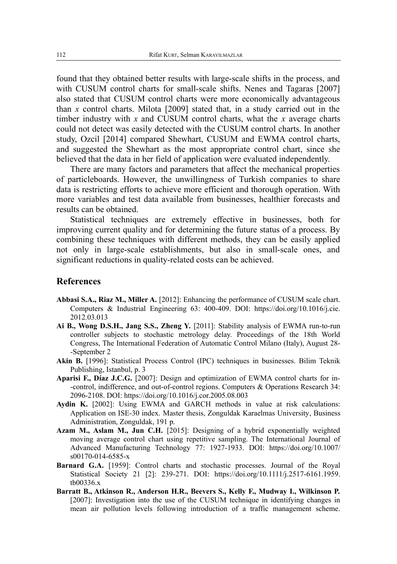found that they obtained better results with large-scale shifts in the process, and with CUSUM control charts for small-scale shifts. Nenes and Tagaras [2007] also stated that CUSUM control charts were more economically advantageous than *x* control charts. Milota [2009] stated that, in a study carried out in the timber industry with *x* and CUSUM control charts, what the *x* average charts could not detect was easily detected with the CUSUM control charts. In another study, Ozcil [2014] compared Shewhart, CUSUM and EWMA control charts, and suggested the Shewhart as the most appropriate control chart, since she believed that the data in her field of application were evaluated independently.

There are many factors and parameters that affect the mechanical properties of particleboards. However, the unwillingness of Turkish companies to share data is restricting efforts to achieve more efficient and thorough operation. With more variables and test data available from businesses, healthier forecasts and results can be obtained.

Statistical techniques are extremely effective in businesses, both for improving current quality and for determining the future status of a process. By combining these techniques with different methods, they can be easily applied not only in large-scale establishments, but also in small-scale ones, and significant reductions in quality-related costs can be achieved.

# **References**

- **Abbasi S.A., Riaz M., Miller A.** [2012]: Enhancing the performance of CUSUM scale chart. Computers & Industrial Engineering 63: 400-409. DOI: https://doi.org/10.1016/j.cie. 2012.03.013
- **Ai B., Wong D.S.H., Jang S.S., Zheng Y.** [2011]: Stability analysis of EWMA run-to-run controller subjects to stochastic metrology delay. Proceedings of the 18th World Congress, The International Federation of Automatic Control Milano (Italy), August 28- -September 2
- **Akin B.** [1996]: Statistical Process Control (IPC) techniques in businesses. Bilim Teknik Publishing, Istanbul, p. 3
- **Aparisi F., Díaz J.C.G.** [2007]: Design and optimization of EWMA control charts for in- -control, indifference, and out-of-control regions. Computers & Operations Research 34: 2096-2108. DOI: https://doi.org/10.1016/j.cor.2005.08.003
- **Aydin K.** [2002]: Using EWMA and GARCH methods in value at risk calculations: Application on ISE-30 index. Master thesis, Zonguldak Karaelmas University, Business Administration, Zonguldak, 191 p.
- **Azam M., Aslam M., Jun C.H.** [2015]: Designing of a hybrid exponentially weighted moving average control chart using repetitive sampling. The International Journal of Advanced Manufacturing Technology 77: 1927-1933. DOI: https://doi.org/10.1007/ s00170-014-6585-x
- **Barnard G.A.** [1959]: Control charts and stochastic processes. Journal of the Royal Statistical Society 21 [2]: 239-271. DOI: https://doi.org/10.1111/j.2517-6161.1959. tb00336.x
- **Barratt B., Atkinson R., Anderson H.R., Beevers S., Kelly F., Mudway I., Wilkinson P.** [2007]: Investigation into the use of the CUSUM technique in identifying changes in mean air pollution levels following introduction of a traffic management scheme.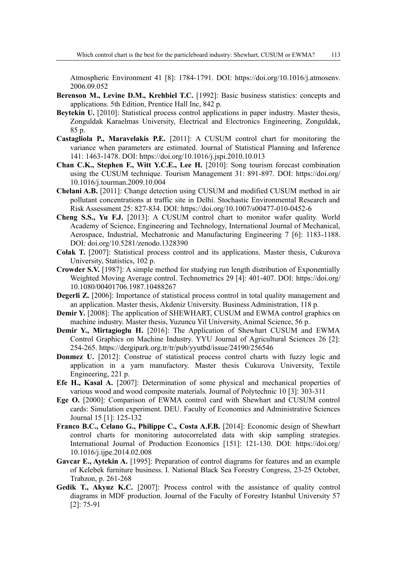Atmospheric Environment 41 [8]: 1784-1791. DOI: https://doi.org/10.1016/j.atmosenv. 2006.09.052

- **Berenson M., Levine D.M., Krehbiel T.C.** [1992]: Basic business statistics: concepts and applications. 5th Edition, Prentice Hall Inc, 842 p.
- **Beytekin U.** [2010]: Statistical process control applications in paper industry. Master thesis, Zonguldak Karaelmas University, Electrical and Electronics Engineering, Zonguldak, 85 p.
- **Castagliola P., Maravelakis P.E.** [2011]: A CUSUM control chart for monitoring the variance when parameters are estimated. Journal of Statistical Planning and Inference 141: 1463-1478. DOI: https://doi.org/10.1016/j.jspi.2010.10.013
- **Chan C.K., Stephen F., Witt Y.C.E., Lee H.** [2010]: Song tourism forecast combination using the CUSUM technique. Tourism Management 31: 891-897. DOI: https://doi.org/ 10.1016/j.tourman.2009.10.004
- **Chelani A.B.** [2011]: Change detection using CUSUM and modified CUSUM method in air pollutant concentrations at traffic site in Delhi. Stochastic Environmental Research and Risk Assessment 25: 827-834. DOI: https://doi.org/10.1007/s00477-010-0452-6
- **Cheng S.S., Yu F.J.** [2013]: A CUSUM control chart to monitor wafer quality. World Academy of Science, Engineering and Technology, International Journal of Mechanical, Aerospace, Industrial, Mechatronic and Manufacturing Engineering 7 [6]: 1183-1188. DOI: doi.org/10.5281/zenodo.1328390
- **Colak T.** [2007]: Statistical process control and its applications. Master thesis, Cukurova University, Statistics, 102 p.
- **Crowder S.V.** [1987]: A simple method for studying run length distribution of Exponentially Weighted Moving Average control. Technometrics 29 [4]: 401-407. DOI: https://doi.org/ 10.1080/00401706.1987.10488267
- **Degerli Z.** [2006]: Importance of statistical process control in total quality management and an application. Master thesis, Akdeniz University. Business Administration, 118 p.
- **Demir Y.** [2008]: The application of SHEWHART, CUSUM and EWMA control graphics on machine industry. Master thesis, Yuzuncu Yil University, Animal Science, 56 p.
- **Demir Y., Mirtagioglu H.** [2016]: The Application of Shewhart CUSUM and EWMA Control Graphics on Machine Industry. YYU Journal of Agricultural Sciences 26 [2]: 254-265. https://dergipark.org.tr/tr/pub/yyutbd/issue/24190/256546
- **Donmez U.** [2012]: Construe of statistical process control charts with fuzzy logic and application in a yarn manufactory. Master thesis Cukurova University, Textile Engineering, 221 p.
- **Efe H., Kasal A.** [2007]: Determination of some physical and mechanical properties of various wood and wood composite materials. Journal of Polytechnic 10 [3]: 303-311
- **Ege O.** [2000]: Comparison of EWMA control card with Shewhart and CUSUM control cards: Simulation experiment. DEU. Faculty of Economics and Administrative Sciences Journal 15 [1]: 125-132
- **Franco B.C., Celano G., Philippe C., Costa A.F.B.** [2014]: Economic design of Shewhart control charts for monitoring autocorrelated data with skip sampling strategies. International Journal of Production Economics [151]: 121-130. DOI: https://doi.org/ 10.1016/j.ijpe.2014.02.008
- **Gavcar E., Aytekin A.** [1995]: Preparation of control diagrams for features and an example of Kelebek furniture business. I. National Black Sea Forestry Congress, 23-25 October, Trabzon, p. 261-268
- **Gedik T., Akyuz K.C.** [2007]: Process control with the assistance of quality control diagrams in MDF production. Journal of the Faculty of Forestry Istanbul University 57 [2]: 75-91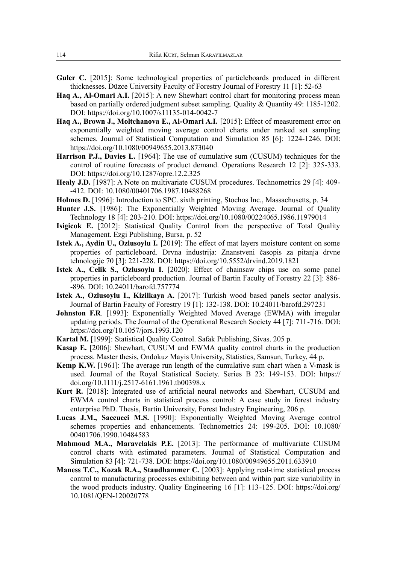- **Guler C.** [2015]: Some technological properties of particleboards produced in different thicknesses. Düzce University Faculty of Forestry Journal of Forestry 11 [1]: 52-63
- **Haq A., Al-Omari A.I.** [2015]: A new Shewhart control chart for monitoring process mean based on partially ordered judgment subset sampling. Quality & Quantity 49: 1185-1202. DOI: https://doi.org/10.1007/s11135-014-0042-7
- **Haq A., Brown J., Moltchanova E., Al-Omari A.I.** [2015]: Effect of measurement error on exponentially weighted moving average control charts under ranked set sampling schemes. Journal of Statistical Computation and Simulation 85 [6]: 1224-1246. DOI: https://doi.org/10.1080/00949655.2013.873040
- **Harrison P.J., Davies L.** [1964]: The use of cumulative sum (CUSUM) techniques for the control of routine forecasts of product demand. Operations Research 12 [2]: 325-333. DOI: https://doi.org/10.1287/opre.12.2.325
- **Healy J.D.** [1987]: A Note on multivariate CUSUM procedures. Technometrics 29 [4]: 409--412. DOI: 10.1080/00401706.1987.10488268
- **Holmes D.** [1996]: Introduction to SPC. sixth printing, Stochos Inc., Massachusetts, p. 34
- **Hunter J.S.** [1986]: The Exponentially Weighted Moving Average. Journal of Quality Technology 18 [4]: 203-210. DOI: https://doi.org/10.1080/00224065.1986.11979014
- **Isigicok E.** [2012]: Statistical Quality Control from the perspective of Total Quality Management. Ezgi Publishing, Bursa, p. 52
- **Istek A., Aydin U., Ozlusoylu I.** [2019]: The effect of mat layers moisture content on some properties of particleboard. Drvna industrija: Znanstveni časopis za pitanja drvne tehnologije 70 [3]: 221-228. DOI: https://doi.org/10.5552/drvind.2019.1821
- **Istek A., Celik S., Ozlusoylu I.** [2020]: Effect of chainsaw chips use on some panel properties in particleboard production. Journal of Bartin Faculty of Forestry 22 [3]: 886- -896. DOI: 10.24011/barofd.757774
- **Istek A., Ozlusoylu I., Kizilkaya A.** [2017]: Turkish wood based panels sector analysis. Journal of Bartin Faculty of Forestry 19 [1]: 132-138. DOI: 10.24011/barofd.297231
- **Johnston F.R**. [1993]: Exponentially Weighted Moved Average (EWMA) with irregular updating periods. The Journal of the Operational Research Society 44 [7]: 711-716. DOI: https://doi.org/10.1057/jors.1993.120
- **Kartal M.** [1999]: Statistical Quality Control. Safak Publishing, Sivas. 205 p.
- **Kasap E.** [2006]: Shewhart, CUSUM and EWMA quality control charts in the production process. Master thesis, Ondokuz Mayis University, Statistics, Samsun, Turkey, 44 p.
- **Kemp K.W.** [1961]: The average run length of the cumulative sum chart when a V-mask is used. Journal of the Royal Statistical Society. Series B 23: 149-153. DOI: https:// doi.org/10.1111/j.2517-6161.1961.tb00398.x
- **Kurt R.** [2018]: Integrated use of artificial neural networks and Shewhart, CUSUM and EWMA control charts in statistical process control: A case study in forest industry enterprise PhD. Thesis, Bartin University, Forest Industry Engineering, 206 p.
- **Lucas J.M., Saccucci M.S.** [1990]: Exponentially Weighted Moving Average control schemes properties and enhancements. Technometrics 24: 199-205. DOI: 10.1080/ 00401706.1990.10484583
- **Mahmoud M.A., Maravelakis P.E.** [2013]: The performance of multivariate CUSUM control charts with estimated parameters. Journal of Statistical Computation and Simulation 83 [4]: 721-738. DOI: https://doi.org/10.1080/00949655.2011.633910
- **Maness T.C., Kozak R.A., Staudhammer C.** [2003]: Applying real-time statistical process control to manufacturing processes exhibiting between and within part size variability in the wood products industry. Quality Engineering 16 [1]: 113-125. DOI: https://doi.org/ 10.1081/QEN-120020778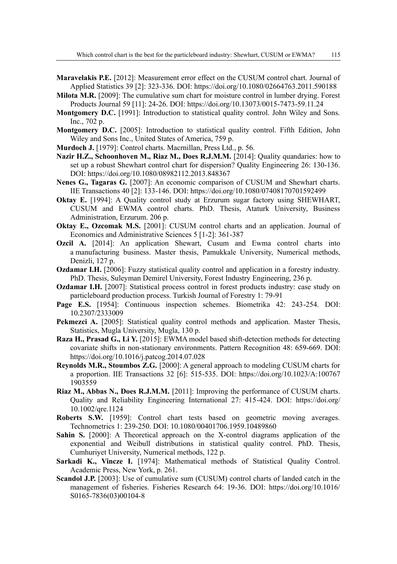- **Maravelakis P.E.** [2012]: Measurement error effect on the CUSUM control chart. Journal of Applied Statistics 39 [2]: 323-336. DOI: https://doi.org/10.1080/02664763.2011.590188
- **Milota M.R.** [2009]: The cumulative sum chart for moisture control in lumber drying. Forest Products Journal 59 [11]: 24-26. DOI: https://doi.org/10.13073/0015-7473-59.11.24
- **Montgomery D.C.** [1991]: Introduction to statistical quality control. John Wiley and Sons. Inc., 702 p.
- **Montgomery D.C.** [2005]: Introduction to statistical quality control. Fifth Edition, John Wiley and Sons Inc., United States of America, 759 p.
- **Murdoch J.** [1979]: Control charts. Macrnillan, Press Ltd., p. 56.
- **Nazir H.Z., Schoonhoven M., Riaz M., Does R.J.M.M.** [2014]: Quality quandaries: how to set up a robust Shewhart control chart for dispersion? Quality Engineering 26: 130-136. DOI: https://doi.org/10.1080/08982112.2013.848367
- **Nenes G., Tagaras G.** [2007]: An economic comparison of CUSUM and Shewhart charts. IIE Transactions 40 [2]: 133-146. DOI: https://doi.org/10.1080/07408170701592499
- **Oktay E.** [1994]: A Quality control study at Erzurum sugar factory using SHEWHART, CUSUM and EWMA control charts. PhD. Thesis, Ataturk University, Business Administration, Erzurum. 206 p.
- **Oktay E., Ozcomak M.S.** [2001]: CUSUM control charts and an application. Journal of Economics and Administrative Sciences 5 [1-2]: 361-387
- **Ozcil A.** [2014]: An application Shewart, Cusum and Ewma control charts into a manufacturing business. Master thesis, Pamukkale University, Numerical methods, Denizli, 127 p.
- **Ozdamar I.H.** [2006]: Fuzzy statistical quality control and application in a forestry industry. PhD. Thesis, Suleyman Demirel University, Forest Industry Engineering, 236 p.
- **Ozdamar I.H.** [2007]: Statistical process control in forest products industry: case study on particleboard production process. Turkish Journal of Forestry 1: 79-91
- **Page E.S.** [1954]: Continuous inspection schemes. Biometrika 42: 243-254. DOI: 10.2307/2333009
- Pekmezci A. [2005]: Statistical quality control methods and application. Master Thesis, Statistics, Mugla University, Mugla, 130 p.
- **Raza H., Prasad G., Li Y.** [2015]: EWMA model based shift-detection methods for detecting covariate shifts in non-stationary environments. Pattern Recognition 48: 659-669. DOI: https://doi.org/10.1016/j.patcog.2014.07.028
- **Reynolds M.R., Stoumbos Z.G.** [2000]: A general approach to modeling CUSUM charts for a proportion. IIE Transactions 32 [6]: 515-535. DOI: https://doi.org/10.1023/A:100767 1903559
- **Riaz M., Abbas N., Does R.J.M.M.** [2011]: Improving the performance of CUSUM charts. Quality and Reliability Engineering International 27: 415-424. DOI: https://doi.org/ 10.1002/qre.1124
- **Roberts S.W.** [1959]: Control chart tests based on geometric moving averages. Technometrics 1: 239-250. DOI: 10.1080/00401706.1959.10489860
- **Sahin S.** [2000]: A Theoretical approach on the X-control diagrams application of the exponential and Weibull distributions in statistical quality control. PhD. Thesis, Cumhuriyet University, Numerical methods, 122 p.
- **Sarkadi K., Vincze I.** [1974]: Mathematical methods of Statistical Quality Control. Academic Press, New York, p. 261.
- **Scandol J.P.** [2003]: Use of cumulative sum (CUSUM) control charts of landed catch in the management of fisheries. Fisheries Research 64: 19-36. DOI: https://doi.org/10.1016/ S0165-7836(03)00104-8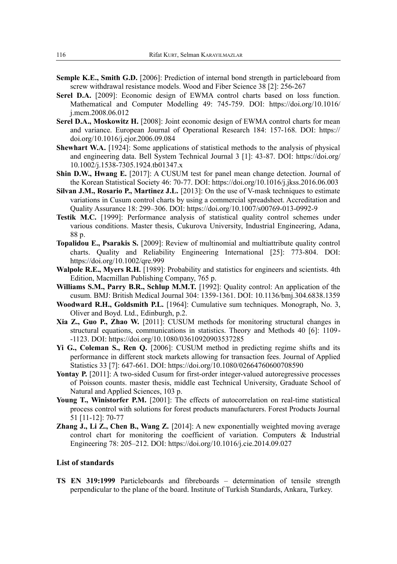- **Semple K.E., Smith G.D.** [2006]: Prediction of internal bond strength in particleboard from screw withdrawal resistance models. Wood and Fiber Science 38 [2]: 256-267
- **Serel D.A.** [2009]: Economic design of EWMA control charts based on loss function. Mathematical and Computer Modelling 49: 745-759. DOI: https://doi.org/10.1016/ j.mcm.2008.06.012
- **Serel D.A., Moskowitz H.** [2008]: Joint economic design of EWMA control charts for mean and variance. European Journal of Operational Research 184: 157-168. DOI: https:// doi.org/10.1016/j.ejor.2006.09.084
- **Shewhart W.A.** [1924]: Some applications of statistical methods to the analysis of physical and engineering data. Bell System Technical Journal 3 [1]: 43-87. DOI: https://doi.org/ 10.1002/j.1538-7305.1924.tb01347.x
- **Shin D.W., Hwang E.** [2017]: A CUSUM test for panel mean change detection. Journal of the Korean Statistical Society 46: 70-77. DOI: https://doi.org/10.1016/j.jkss.2016.06.003
- **Silvan J.M., Rosario P., Martinez J.L.** [2013]: On the use of V-mask techniques to estimate variations in Cusum control charts by using a commercial spreadsheet. Accreditation and Quality Assurance 18: 299–306. DOI: https://doi.org/10.1007/s00769-013-0992-9
- **Testik M.C.** [1999]: Performance analysis of statistical quality control schemes under various conditions. Master thesis, Cukurova University, Industrial Engineering, Adana, 88 p.
- **Topalidou E., Psarakis S.** [2009]: Review of multinomial and multiattribute quality control charts. Quality and Reliability Engineering International [25]: 773-804. DOI: https://doi.org/10.1002/qre.999
- **Walpole R.E., Myers R.H.** [1989]: Probability and statistics for engineers and scientists. 4th Edition, Macmillan Publishing Company, 765 p.
- **Williams S.M., Parry B.R., Schlup M.M.T.** [1992]: Quality control: An application of the cusum. BMJ: British Medical Journal 304: 1359-1361. DOI: 10.1136/bmj.304.6838.1359
- **Woodward R.H., Goldsmith P.L.** [1964]: Cumulative sum techniques. Monograph, No. 3, Oliver and Boyd. Ltd., Edinburgh, p.2.
- **Xia Z., Guo P., Zhao W.** [2011]: CUSUM methods for monitoring structural changes in structural equations, communications in statistics. Theory and Methods 40 [6]: 1109- -1123. DOI: https://doi.org/10.1080/03610920903537285
- **Yi G., Coleman S., Ren Q.** [2006]: CUSUM method in predicting regime shifts and its performance in different stock markets allowing for transaction fees. Journal of Applied Statistics 33 [7]: 647-661. DOI: https://doi.org/10.1080/02664760600708590
- Yontay P. [2011]: A two-sided Cusum for first-order integer-valued autoregressive processes of Poisson counts. master thesis, middle east Technical University, Graduate School of Natural and Applied Sciences, 103 p.
- Young T., Winistorfer P.M. [2001]: The effects of autocorrelation on real-time statistical process control with solutions for forest products manufacturers. Forest Products Journal 51 [11-12]: 70-77
- **Zhang J., Li Z., Chen B., Wang Z.** [2014]: A new exponentially weighted moving average control chart for monitoring the coefficient of variation. Computers & Industrial Engineering 78: 205–212. DOI: https://doi.org/10.1016/j.cie.2014.09.027

#### **List of standards**

**TS EN 319:1999** Particleboards and fibreboards – determination of tensile strength perpendicular to the plane of the board. Institute of Turkish Standards, Ankara, Turkey.